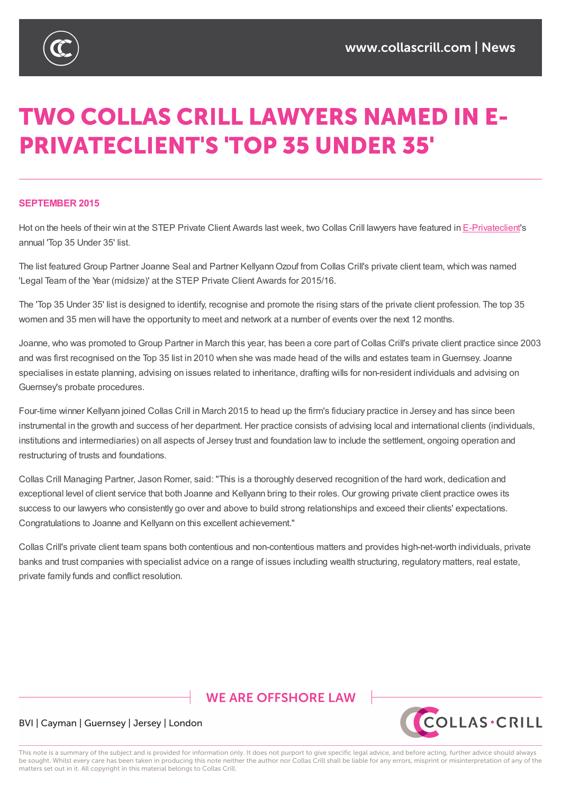

# **TWO COLLAS CRILL LAWYERS NAMED IN E-PRIVATECLIENT'S 'TOP 35 UNDER 35'**

#### **SEPTEMBER 2015**

Hot on the heels of their win at the STEP Private Client Awards last week, two Collas Crill lawyers have featured in E-Privateclient's annual 'Top 35 Under 35' list.

The list featured Group Partner Joanne Seal and Partner Kellyann Ozouf from Collas Crill's private client team, which was [named](http://www.eprivateclient.com/) 'Legal Team of the Year (midsize)' at the STEP Private Client Awards for 2015/16.

The 'Top 35 Under 35' list is designed to identify, recognise and promote the rising stars of the private client profession. The top 35 women and 35 men will have the opportunity to meet and network at a number of events over the next 12 months.

Joanne, who was promoted to Group Partner in March this year, has been a core part of Collas Crill's private client practice since 2003 and was first recognised on the Top 35 list in 2010 when she was made head of the wills and estates team inGuernsey. Joanne specialises in estate planning, advising on issues related to inheritance, drafting wills for non-resident individuals and advising on Guernsey's probate procedures.

Four-time winner Kellyann joined Collas Crill in March 2015 to head up the firm's fiduciary practice in Jersey and has since been instrumental in the growth and success of her department. Her practice consists of advising local and international clients (individuals, institutions and intermediaries) on all aspects of Jersey trust and foundation law to include the settlement, ongoing operation and restructuring of trusts and foundations.

Collas Crill Managing Partner, Jason Romer, said: "This is a thoroughly deserved recognition of the hard work, dedication and exceptional level of client service that both Joanne and Kellyann bring to their roles. Our growing private client practice owes its success to our lawyers who consistently go over and above to build strong relationships and exceed their clients' expectations. Congratulations to Joanne and Kellyann on this excellent achievement."

Collas Crill's private client team spans both contentious and non-contentious matters and provides high-net-worth individuals, private banks and trust companies with specialist advice on a range of issues including wealth structuring, regulatory matters, real estate, private family funds and conflict resolution.

# **WE ARE OFFSHORE LAW**



### BVI | Cayman | Guernsey | Jersey | London

This note is a summary of the subject and is provided for information only. It does not purport to give specific legal advice, and before acting, further advice should always be sought. Whilst every care has been taken in producing this note neither the author nor Collas Crill shall be liable for any errors, misprint or misinterpretation of any of the matters set out in it. All copyright in this material belongs to Collas Crill.